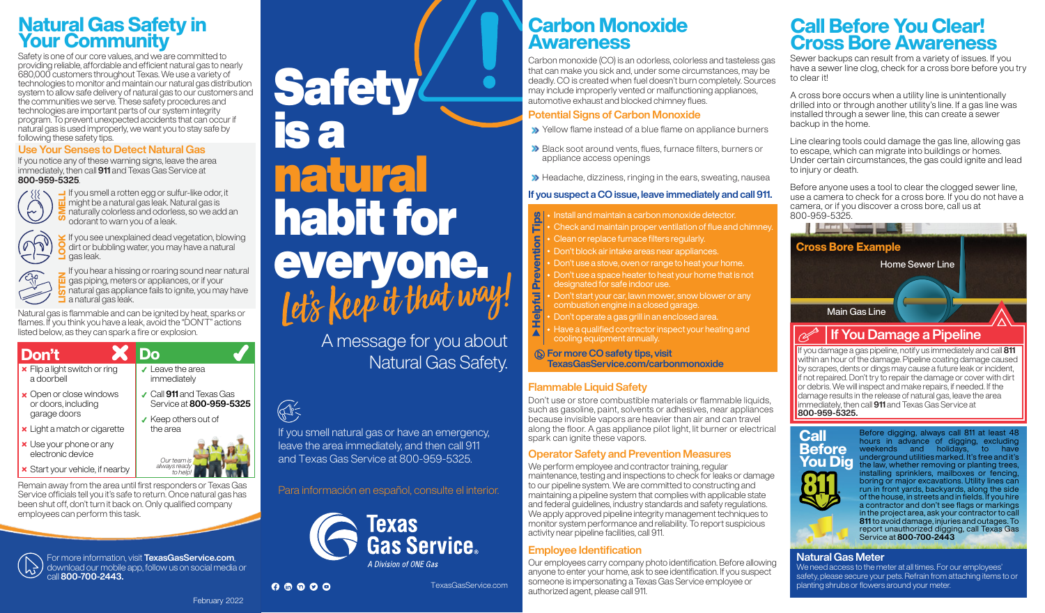## Natural Gas Safety in Your Community

Safety is one of our core values, and we are committed to providing reliable, affordable and efficient natural gas to nearly 680,000 customers throughout Texas. We use a variety of technologies to monitor and maintain our natural gas distribution system to allow safe delivery of natural gas to our customers and the communities we serve. These safety procedures and technologies are important parts of our system integrity program. To prevent unexpected accidents that can occur if natural gas is used improperly, we want you to stay safe by following these safety tips.

#### Use Your Senses to Detect Natural Gas

If you notice any of these warning signs, leave the area immediately, then call 911 and Texas Gas Service at 800-959-5325.



 $\frac{1}{10}$  if you smell a rotten egg or sulfur-like odor<br>in might be a natural gas leak. Natural gas is<br> $\sum$  naturally colorless and odorless, so we ad If you smell a rotten egg or sulfur-like odor, it naturally colorless and odorless, so we add an odorant to warn you of a leak.



 $\leq$  If you see unexplained dead vegetation, blowing<br> $\leq$  dirt or bubbling water, you may have a natural<br>gas leak. dirt or bubbling water, you may have a natural aas leak. If you hear a hissing or roaring sound near natural

a natural gas leak.  $\sigma$  natural gas appliance fails to ignite, you may have 7<br>T gas piping, meters or appliances, or if your

Natural gas is flammable and can be ignited by heat, sparks or flames. If you think you have a leak, avoid the "DON'T" actions listed below, as they can spark a fire or explosion.

| Don't                                              |                                                     |
|----------------------------------------------------|-----------------------------------------------------|
| $\times$ Flip a light switch or ring<br>a doorbell | $\checkmark$ Leave the area<br>immediately          |
| x Open or close windows<br>or doors, including     | ✔ Call 911 and Texas Gas<br>Service at 800-959-5325 |
| garage doors<br>x Light a match or cigarette       | ✔ Keep others out of<br>the area                    |
| x Use your phone or any<br>electronic device       | Our team is                                         |
| <b>×</b> Start your vehicle, if nearby             | always ready<br>to help!                            |

Remain away from the area until first responders or Texas Gas Service officials tell you it's safe to return. Once natural gas has been shut off, don't turn it back on. Only qualified company employees can perform this task.



For more information, visit TexasGasService.com, download our mobile app, follow us on social media or call 800-700-2443.

February 2022

# everyone. **Safety** is a natural habit for

A message for you about Natural Gas Safety.

## $\bigoplus$

 $0 0 0 0 0$ 

If you smell natural gas or have an emergency, leave the area immediately, and then call 911 and Texas Gas Service at 800-959-5325.

Para información en español, consulte el interior.



TexasGasService.com

## Carbon Monoxide Awareness

Carbon monoxide (CO) is an odorless, colorless and tasteless gas that can make you sick and, under some circumstances, may be deadly. CO is created when fuel doesn't burn completely. Sources may include improperly vented or malfunctioning appliances, automotive exhaust and blocked chimney flues.

#### Potential Signs of Carbon Monoxide

- Yellow flame instead of a blue flame on appliance burners
- Black soot around vents, flues, furnace filters, burners or appliance access openings
- Headache, dizziness, ringing in the ears, sweating, nausea

#### If you suspect a CO issue, leave immediately and call 911.

- Install and maintain a carbon monoxide detector.<br>
Check and maintain proper ventilation of flue and
- Check and maintain proper ventilation of flue and chimney.
- ntion<sup>'</sup> Clean or replace furnace filters regularly.
- Don't block air intake areas near appliances.
- Don't use a stove, oven or range to heat your home.
- Helpful Prevention Tips Prev Don't use a space heater to heat your home that is not designated for safe indoor use.
- **Helpful** Don't start your car, lawn mower, snow blower or any combustion engine in a closed garage.
- Don't operate a gas grill in an enclosed area.
- Have a qualified contractor inspect your heating and  $\blacktriangle$ cooling equipment annually.

#### **(b) For more CO safety tips, visit** TexasGasService.com/carbonmonoxide

#### **Flammable Liquid Safety**

Don't use or store combustible materials or flammable liquids, such as gasoline, paint, solvents or adhesives, near appliances because invisible vapors are heavier than air and can travel along the floor. A gas appliance pilot light, lit burner or electrical spark can ignite these vapors.

#### Operator Safety and Prevention Measures

We perform employee and contractor training, regular maintenance, testing and inspections to check for leaks or damage to our pipeline system. We are committed to constructing and maintaining a pipeline system that complies with applicable state and federal guidelines, industry standards and safety regulations. We apply approved pipeline integrity management techniques to monitor system performance and reliability. To report suspicious activity near pipeline facilities, call 911.

## Employee Identification

Our employees carry company photo identification. Before allowing anyone to enter your home, ask to see identification. If you suspect someone is impersonating a Texas Gas Service employee or authorized agent, please call 911.

## Call Before You Clear! Cross Bore Awareness

Sewer backups can result from a variety of issues. If you have a sewer line clog, check for a cross bore before you try to clear it!

A cross bore occurs when a utility line is unintentionally drilled into or through another utility's line. If a gas line was installed through a sewer line, this can create a sewer backup in the home.

Line clearing tools could damage the gas line, allowing gas to escape, which can migrate into buildings or homes. Under certain circumstances, the gas could ignite and lead to injury or death.

Before anyone uses a tool to clear the clogged sewer line, use a camera to check for a cross bore. If you do not have a camera, or if you discover a cross bore, call us at



If you damage a gas pipeline, notify us immediately and call 811 within an hour of the damage. Pipeline coating damage caused by scrapes, dents or dings may cause a future leak or incident, If not repaired. Don't try to repair the damage or cover with dirt or debris. We will inspect and make repairs, if needed. If the damage results in the release of natural gas, leave the area immediately, then call 911 and Texas Gas Service at 800-959-5325.



Before digging, always call 811 at least 48 hours in advance of digging, excluding weekends and holidays, to have underground utilities marked. It's free and it's the law, whether removing or planting trees, installing sprinklers, mailboxes or fencing, boring or major excavations. Utility lines can run in front yards, backyards, along the side of the house, in streets and in fields. If you hire a contractor and don't see flags or markings in the project area, ask your contractor to call 811 to avoid damage, injuries and outages. To report unauthorized digging<mark>, call Texa</mark>s Gas Service at 800-700-2443

## Natural Gas Meter

We need access to the meter at all times. For our employees' safety, please secure your pets. Refrain from attaching items to or planting shrubs or flowers around your meter.